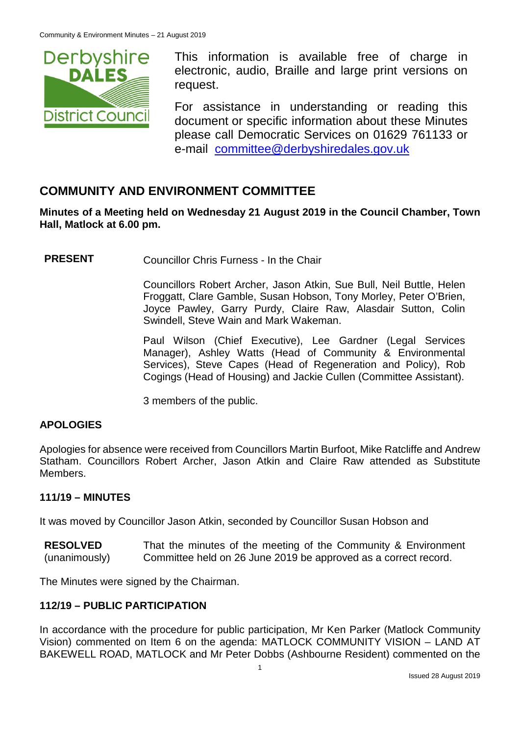

This information is available free of charge in electronic, audio, Braille and large print versions on request.

For assistance in understanding or reading this document or specific information about these Minutes please call Democratic Services on 01629 761133 or e-mail [committee@derbyshiredales.gov.uk](mailto:brian.evans@derbyshiredales.gov.uk)

# **COMMUNITY AND ENVIRONMENT COMMITTEE**

**Minutes of a Meeting held on Wednesday 21 August 2019 in the Council Chamber, Town Hall, Matlock at 6.00 pm.**

**PRESENT** Councillor Chris Furness - In the Chair

Councillors Robert Archer, Jason Atkin, Sue Bull, Neil Buttle, Helen Froggatt, Clare Gamble, Susan Hobson, Tony Morley, Peter O'Brien, Joyce Pawley, Garry Purdy, Claire Raw, Alasdair Sutton, Colin Swindell, Steve Wain and Mark Wakeman.

Paul Wilson (Chief Executive), Lee Gardner (Legal Services Manager), Ashley Watts (Head of Community & Environmental Services), Steve Capes (Head of Regeneration and Policy), Rob Cogings (Head of Housing) and Jackie Cullen (Committee Assistant).

3 members of the public.

## **APOLOGIES**

Apologies for absence were received from Councillors Martin Burfoot, Mike Ratcliffe and Andrew Statham. Councillors Robert Archer, Jason Atkin and Claire Raw attended as Substitute Members.

## **111/19 – MINUTES**

It was moved by Councillor Jason Atkin, seconded by Councillor Susan Hobson and

**RESOLVED** (unanimously) That the minutes of the meeting of the Community & Environment Committee held on 26 June 2019 be approved as a correct record.

The Minutes were signed by the Chairman.

## **112/19 – PUBLIC PARTICIPATION**

In accordance with the procedure for public participation, Mr Ken Parker (Matlock Community Vision) commented on Item 6 on the agenda: MATLOCK COMMUNITY VISION – LAND AT BAKEWELL ROAD, MATLOCK and Mr Peter Dobbs (Ashbourne Resident) commented on the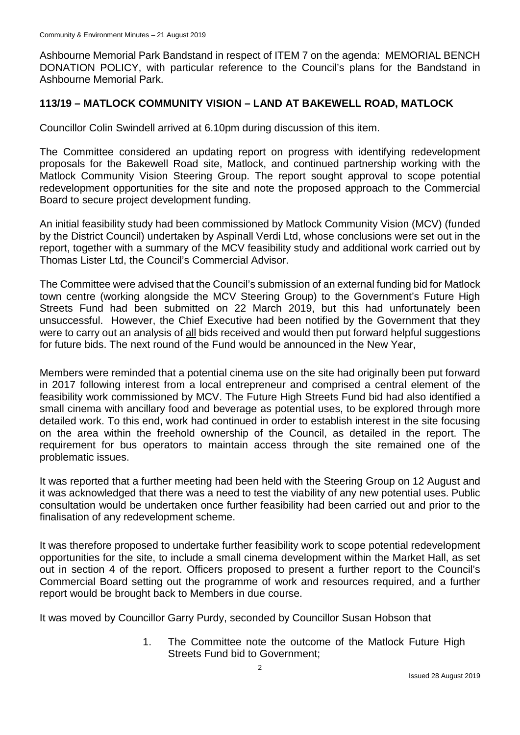Ashbourne Memorial Park Bandstand in respect of ITEM 7 on the agenda: MEMORIAL BENCH DONATION POLICY, with particular reference to the Council's plans for the Bandstand in Ashbourne Memorial Park.

## **113/19 – MATLOCK COMMUNITY VISION – LAND AT BAKEWELL ROAD, MATLOCK**

Councillor Colin Swindell arrived at 6.10pm during discussion of this item.

The Committee considered an updating report on progress with identifying redevelopment proposals for the Bakewell Road site, Matlock, and continued partnership working with the Matlock Community Vision Steering Group. The report sought approval to scope potential redevelopment opportunities for the site and note the proposed approach to the Commercial Board to secure project development funding.

An initial feasibility study had been commissioned by Matlock Community Vision (MCV) (funded by the District Council) undertaken by Aspinall Verdi Ltd, whose conclusions were set out in the report, together with a summary of the MCV feasibility study and additional work carried out by Thomas Lister Ltd, the Council's Commercial Advisor.

The Committee were advised that the Council's submission of an external funding bid for Matlock town centre (working alongside the MCV Steering Group) to the Government's Future High Streets Fund had been submitted on 22 March 2019, but this had unfortunately been unsuccessful. However, the Chief Executive had been notified by the Government that they were to carry out an analysis of all bids received and would then put forward helpful suggestions for future bids. The next round of the Fund would be announced in the New Year,

Members were reminded that a potential cinema use on the site had originally been put forward in 2017 following interest from a local entrepreneur and comprised a central element of the feasibility work commissioned by MCV. The Future High Streets Fund bid had also identified a small cinema with ancillary food and beverage as potential uses, to be explored through more detailed work. To this end, work had continued in order to establish interest in the site focusing on the area within the freehold ownership of the Council, as detailed in the report. The requirement for bus operators to maintain access through the site remained one of the problematic issues.

It was reported that a further meeting had been held with the Steering Group on 12 August and it was acknowledged that there was a need to test the viability of any new potential uses. Public consultation would be undertaken once further feasibility had been carried out and prior to the finalisation of any redevelopment scheme.

It was therefore proposed to undertake further feasibility work to scope potential redevelopment opportunities for the site, to include a small cinema development within the Market Hall, as set out in section 4 of the report. Officers proposed to present a further report to the Council's Commercial Board setting out the programme of work and resources required, and a further report would be brought back to Members in due course.

It was moved by Councillor Garry Purdy, seconded by Councillor Susan Hobson that

1. The Committee note the outcome of the Matlock Future High Streets Fund bid to Government;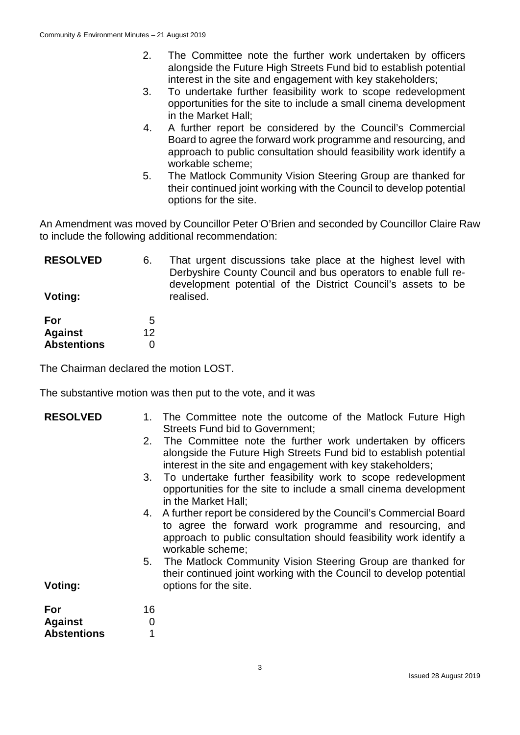- 2. The Committee note the further work undertaken by officers alongside the Future High Streets Fund bid to establish potential interest in the site and engagement with key stakeholders;
- 3. To undertake further feasibility work to scope redevelopment opportunities for the site to include a small cinema development in the Market Hall;
- 4. A further report be considered by the Council's Commercial Board to agree the forward work programme and resourcing, and approach to public consultation should feasibility work identify a workable scheme;
- 5. The Matlock Community Vision Steering Group are thanked for their continued joint working with the Council to develop potential options for the site.

An Amendment was moved by Councillor Peter O'Brien and seconded by Councillor Claire Raw to include the following additional recommendation:

| <b>RESOLVED</b><br>Voting: | 6.      | That urgent discussions take place at the highest level with<br>Derbyshire County Council and bus operators to enable full re-<br>development potential of the District Council's assets to be<br>realised. |
|----------------------------|---------|-------------------------------------------------------------------------------------------------------------------------------------------------------------------------------------------------------------|
| For<br><b>Against</b>      | 5<br>12 |                                                                                                                                                                                                             |
| <b>Abstentions</b>         |         |                                                                                                                                                                                                             |

The Chairman declared the motion LOST.

The substantive motion was then put to the vote, and it was

| <b>RESOLVED</b>                             |              | The Committee note the outcome of the Matlock Future High<br><b>Streets Fund bid to Government:</b>                                                                                                                      |
|---------------------------------------------|--------------|--------------------------------------------------------------------------------------------------------------------------------------------------------------------------------------------------------------------------|
|                                             | 2.           | The Committee note the further work undertaken by officers<br>alongside the Future High Streets Fund bid to establish potential<br>interest in the site and engagement with key stakeholders;                            |
|                                             |              | 3. To undertake further feasibility work to scope redevelopment<br>opportunities for the site to include a small cinema development<br>in the Market Hall;                                                               |
|                                             |              | 4. A further report be considered by the Council's Commercial Board<br>to agree the forward work programme and resourcing, and<br>approach to public consultation should feasibility work identify a<br>workable scheme; |
| Voting:                                     |              | 5. The Matlock Community Vision Steering Group are thanked for<br>their continued joint working with the Council to develop potential<br>options for the site.                                                           |
| For<br><b>Against</b><br><b>Abstentions</b> | 16<br>0<br>1 |                                                                                                                                                                                                                          |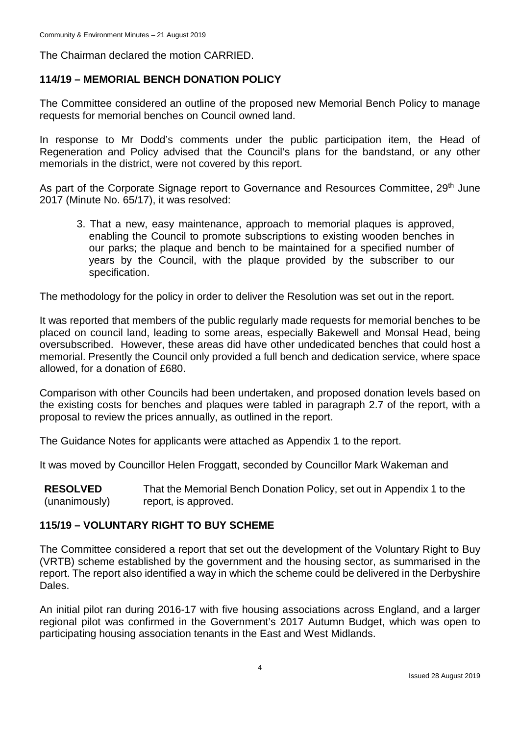The Chairman declared the motion CARRIED.

## **114/19 – MEMORIAL BENCH DONATION POLICY**

The Committee considered an outline of the proposed new Memorial Bench Policy to manage requests for memorial benches on Council owned land.

In response to Mr Dodd's comments under the public participation item, the Head of Regeneration and Policy advised that the Council's plans for the bandstand, or any other memorials in the district, were not covered by this report.

As part of the Corporate Signage report to Governance and Resources Committee, 29<sup>th</sup> June 2017 (Minute No. 65/17), it was resolved:

3. That a new, easy maintenance, approach to memorial plaques is approved, enabling the Council to promote subscriptions to existing wooden benches in our parks; the plaque and bench to be maintained for a specified number of years by the Council, with the plaque provided by the subscriber to our specification.

The methodology for the policy in order to deliver the Resolution was set out in the report.

It was reported that members of the public regularly made requests for memorial benches to be placed on council land, leading to some areas, especially Bakewell and Monsal Head, being oversubscribed. However, these areas did have other undedicated benches that could host a memorial. Presently the Council only provided a full bench and dedication service, where space allowed, for a donation of £680.

Comparison with other Councils had been undertaken, and proposed donation levels based on the existing costs for benches and plaques were tabled in paragraph 2.7 of the report, with a proposal to review the prices annually, as outlined in the report.

The Guidance Notes for applicants were attached as Appendix 1 to the report.

It was moved by Councillor Helen Froggatt, seconded by Councillor Mark Wakeman and

**RESOLVED** (unanimously) That the Memorial Bench Donation Policy, set out in Appendix 1 to the report, is approved.

## **115/19 – VOLUNTARY RIGHT TO BUY SCHEME**

The Committee considered a report that set out the development of the Voluntary Right to Buy (VRTB) scheme established by the government and the housing sector, as summarised in the report. The report also identified a way in which the scheme could be delivered in the Derbyshire Dales.

An initial pilot ran during 2016-17 with five housing associations across England, and a larger regional pilot was confirmed in the Government's 2017 Autumn Budget, which was open to participating housing association tenants in the East and West Midlands.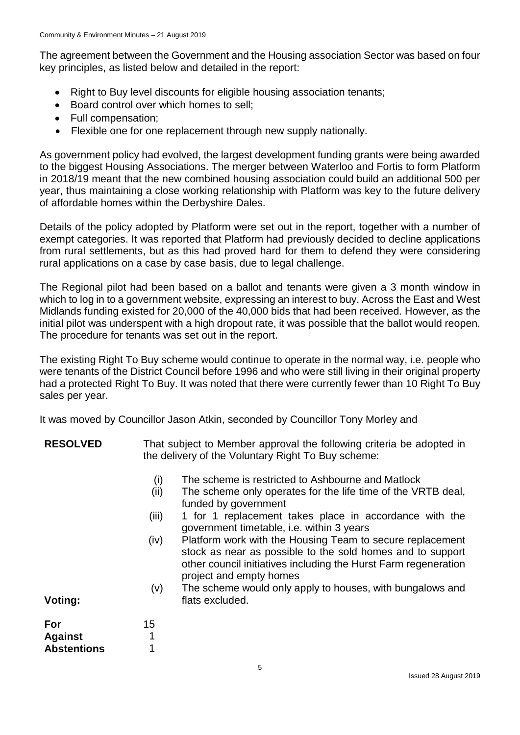The agreement between the Government and the Housing association Sector was based on four key principles, as listed below and detailed in the report:

- Right to Buy level discounts for eligible housing association tenants;
- Board control over which homes to sell;
- Full compensation;
- Flexible one for one replacement through new supply nationally.

As government policy had evolved, the largest development funding grants were being awarded to the biggest Housing Associations. The merger between Waterloo and Fortis to form Platform in 2018/19 meant that the new combined housing association could build an additional 500 per year, thus maintaining a close working relationship with Platform was key to the future delivery of affordable homes within the Derbyshire Dales.

Details of the policy adopted by Platform were set out in the report, together with a number of exempt categories. It was reported that Platform had previously decided to decline applications from rural settlements, but as this had proved hard for them to defend they were considering rural applications on a case by case basis, due to legal challenge.

The Regional pilot had been based on a ballot and tenants were given a 3 month window in which to log in to a government website, expressing an interest to buy. Across the East and West Midlands funding existed for 20,000 of the 40,000 bids that had been received. However, as the initial pilot was underspent with a high dropout rate, it was possible that the ballot would reopen. The procedure for tenants was set out in the report.

The existing Right To Buy scheme would continue to operate in the normal way, i.e. people who were tenants of the District Council before 1996 and who were still living in their original property had a protected Right To Buy. It was noted that there were currently fewer than 10 Right To Buy sales per year.

It was moved by Councillor Jason Atkin, seconded by Councillor Tony Morley and

- **RESOLVED** That subject to Member approval the following criteria be adopted in the delivery of the Voluntary Right To Buy scheme:
	- (i) The scheme is restricted to Ashbourne and Matlock
	- (ii) The scheme only operates for the life time of the VRTB deal, funded by government
	- (iii) 1 for 1 replacement takes place in accordance with the government timetable, i.e. within 3 years
	- (iv) Platform work with the Housing Team to secure replacement stock as near as possible to the sold homes and to support other council initiatives including the Hurst Farm regeneration project and empty homes
	- (v) The scheme would only apply to houses, with bungalows and flats excluded.

**Voting:**

| For                | 15 |
|--------------------|----|
| <b>Against</b>     |    |
| <b>Abstentions</b> |    |